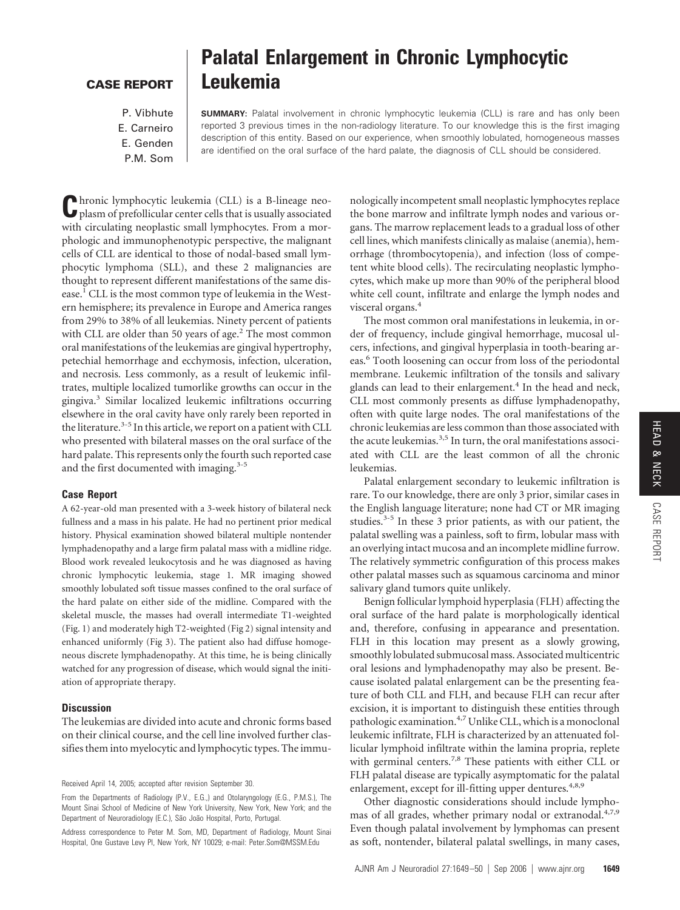## **CASE REPORT**

# **Palatal Enlargement in Chronic Lymphocytic Leukemia**

P. Vibhute E. Carneiro E. Genden P.M. Som

**SUMMARY:** Palatal involvement in chronic lymphocytic leukemia (CLL) is rare and has only been reported 3 previous times in the non-radiology literature. To our knowledge this is the first imaging description of this entity. Based on our experience, when smoothly lobulated, homogeneous masses are identified on the oral surface of the hard palate, the diagnosis of CLL should be considered.

**C**hronic lymphocytic leukemia (CLL) is a B-lineage neo-plasm of prefollicular center cells that is usually associated with circulating neoplastic small lymphocytes. From a morphologic and immunophenotypic perspective, the malignant cells of CLL are identical to those of nodal-based small lymphocytic lymphoma (SLL), and these 2 malignancies are thought to represent different manifestations of the same disease.<sup>1</sup> CLL is the most common type of leukemia in the Western hemisphere; its prevalence in Europe and America ranges from 29% to 38% of all leukemias. Ninety percent of patients with CLL are older than 50 years of age.<sup>2</sup> The most common oral manifestations of the leukemias are gingival hypertrophy, petechial hemorrhage and ecchymosis, infection, ulceration, and necrosis. Less commonly, as a result of leukemic infiltrates, multiple localized tumorlike growths can occur in the gingiva.3 Similar localized leukemic infiltrations occurring elsewhere in the oral cavity have only rarely been reported in the literature.<sup>3-5</sup> In this article, we report on a patient with CLL who presented with bilateral masses on the oral surface of the hard palate. This represents only the fourth such reported case and the first documented with imaging. $3-5$ 

### **Case Report**

A 62-year-old man presented with a 3-week history of bilateral neck fullness and a mass in his palate. He had no pertinent prior medical history. Physical examination showed bilateral multiple nontender lymphadenopathy and a large firm palatal mass with a midline ridge. Blood work revealed leukocytosis and he was diagnosed as having chronic lymphocytic leukemia, stage 1. MR imaging showed smoothly lobulated soft tissue masses confined to the oral surface of the hard palate on either side of the midline. Compared with the skeletal muscle, the masses had overall intermediate T1-weighted (Fig. 1) and moderately high T2-weighted (Fig 2) signal intensity and enhanced uniformly (Fig 3). The patient also had diffuse homogeneous discrete lymphadenopathy. At this time, he is being clinically watched for any progression of disease, which would signal the initiation of appropriate therapy.

## **Discussion**

The leukemias are divided into acute and chronic forms based on their clinical course, and the cell line involved further classifies them into myelocytic and lymphocytic types. The immunologically incompetent small neoplastic lymphocytes replace the bone marrow and infiltrate lymph nodes and various organs. The marrow replacement leads to a gradual loss of other cell lines, which manifests clinically as malaise (anemia), hemorrhage (thrombocytopenia), and infection (loss of competent white blood cells). The recirculating neoplastic lymphocytes, which make up more than 90% of the peripheral blood white cell count, infiltrate and enlarge the lymph nodes and visceral organs.4

The most common oral manifestations in leukemia, in order of frequency, include gingival hemorrhage, mucosal ulcers, infections, and gingival hyperplasia in tooth-bearing areas.6 Tooth loosening can occur from loss of the periodontal membrane. Leukemic infiltration of the tonsils and salivary glands can lead to their enlargement.<sup>4</sup> In the head and neck, CLL most commonly presents as diffuse lymphadenopathy, often with quite large nodes. The oral manifestations of the chronic leukemias are less common than those associated with the acute leukemias.<sup>3,5</sup> In turn, the oral manifestations associated with CLL are the least common of all the chronic leukemias.

Palatal enlargement secondary to leukemic infiltration is rare. To our knowledge, there are only 3 prior, similar cases in the English language literature; none had CT or MR imaging studies. $3-5$  In these 3 prior patients, as with our patient, the palatal swelling was a painless, soft to firm, lobular mass with an overlying intact mucosa and an incomplete midline furrow. The relatively symmetric configuration of this process makes other palatal masses such as squamous carcinoma and minor salivary gland tumors quite unlikely.

Benign follicular lymphoid hyperplasia (FLH) affecting the oral surface of the hard palate is morphologically identical and, therefore, confusing in appearance and presentation. FLH in this location may present as a slowly growing, smoothly lobulated submucosal mass. Associated multicentric oral lesions and lymphadenopathy may also be present. Because isolated palatal enlargement can be the presenting feature of both CLL and FLH, and because FLH can recur after excision, it is important to distinguish these entities through pathologic examination.<sup>4,7</sup> Unlike CLL, which is a monoclonal leukemic infiltrate, FLH is characterized by an attenuated follicular lymphoid infiltrate within the lamina propria, replete with germinal centers.<sup>7,8</sup> These patients with either CLL or FLH palatal disease are typically asymptomatic for the palatal enlargement, except for ill-fitting upper dentures.<sup>4,8,9</sup>

Other diagnostic considerations should include lymphomas of all grades, whether primary nodal or extranodal.<sup>4,7,9</sup> Even though palatal involvement by lymphomas can present as soft, nontender, bilateral palatal swellings, in many cases,

Received April 14, 2005; accepted after revision September 30.

From the Departments of Radiology (P.V., E.G.,) and Otolaryngology (E.G., P.M.S.), The Mount Sinai School of Medicine of New York University, New York, New York; and the Department of Neuroradiology (E.C.), São João Hospital, Porto, Portugal.

Address correspondence to Peter M. Som, MD, Department of Radiology, Mount Sinai Hospital, One Gustave Levy Pl, New York, NY 10029; e-mail: Peter.Som@MSSM.Edu